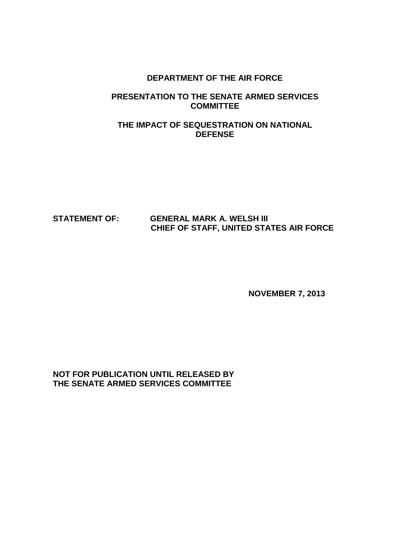## **DEPARTMENT OF THE AIR FORCE**

# **PRESENTATION TO THE SENATE ARMED SERVICES COMMITTEE**

# **THE IMPACT OF SEQUESTRATION ON NATIONAL DEFENSE**

# **STATEMENT OF: GENERAL MARK A. WELSH III CHIEF OF STAFF, UNITED STATES AIR FORCE**

**NOVEMBER 7, 2013**

**NOT FOR PUBLICATION UNTIL RELEASED BY THE SENATE ARMED SERVICES COMMITTEE**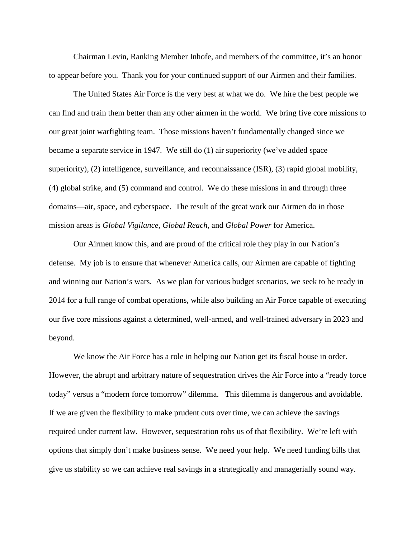Chairman Levin, Ranking Member Inhofe, and members of the committee, it's an honor to appear before you. Thank you for your continued support of our Airmen and their families.

The United States Air Force is the very best at what we do. We hire the best people we can find and train them better than any other airmen in the world. We bring five core missions to our great joint warfighting team. Those missions haven't fundamentally changed since we became a separate service in 1947. We still do (1) air superiority (we've added space superiority), (2) intelligence, surveillance, and reconnaissance (ISR), (3) rapid global mobility, (4) global strike, and (5) command and control. We do these missions in and through three domains—air, space, and cyberspace. The result of the great work our Airmen do in those mission areas is *Global Vigilance, Global Reach*, and *Global Power* for America.

Our Airmen know this, and are proud of the critical role they play in our Nation's defense. My job is to ensure that whenever America calls, our Airmen are capable of fighting and winning our Nation's wars. As we plan for various budget scenarios, we seek to be ready in 2014 for a full range of combat operations, while also building an Air Force capable of executing our five core missions against a determined, well-armed, and well-trained adversary in 2023 and beyond.

We know the Air Force has a role in helping our Nation get its fiscal house in order. However, the abrupt and arbitrary nature of sequestration drives the Air Force into a "ready force today" versus a "modern force tomorrow" dilemma. This dilemma is dangerous and avoidable. If we are given the flexibility to make prudent cuts over time, we can achieve the savings required under current law. However, sequestration robs us of that flexibility. We're left with options that simply don't make business sense. We need your help. We need funding bills that give us stability so we can achieve real savings in a strategically and managerially sound way.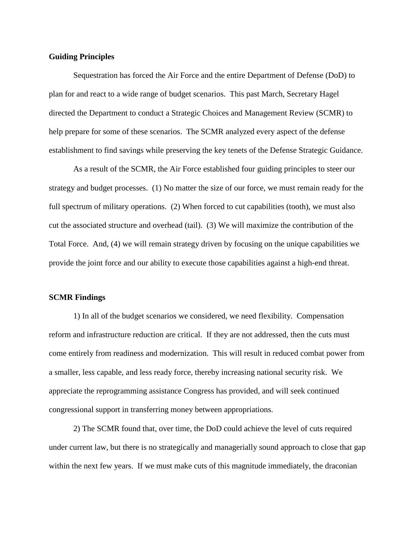## **Guiding Principles**

Sequestration has forced the Air Force and the entire Department of Defense (DoD) to plan for and react to a wide range of budget scenarios. This past March, Secretary Hagel directed the Department to conduct a Strategic Choices and Management Review (SCMR) to help prepare for some of these scenarios. The SCMR analyzed every aspect of the defense establishment to find savings while preserving the key tenets of the Defense Strategic Guidance.

As a result of the SCMR, the Air Force established four guiding principles to steer our strategy and budget processes. (1) No matter the size of our force, we must remain ready for the full spectrum of military operations. (2) When forced to cut capabilities (tooth), we must also cut the associated structure and overhead (tail). (3) We will maximize the contribution of the Total Force. And, (4) we will remain strategy driven by focusing on the unique capabilities we provide the joint force and our ability to execute those capabilities against a high-end threat.

## **SCMR Findings**

1) In all of the budget scenarios we considered, we need flexibility. Compensation reform and infrastructure reduction are critical. If they are not addressed, then the cuts must come entirely from readiness and modernization. This will result in reduced combat power from a smaller, less capable, and less ready force, thereby increasing national security risk. We appreciate the reprogramming assistance Congress has provided, and will seek continued congressional support in transferring money between appropriations.

2) The SCMR found that, over time, the DoD could achieve the level of cuts required under current law, but there is no strategically and managerially sound approach to close that gap within the next few years. If we must make cuts of this magnitude immediately, the draconian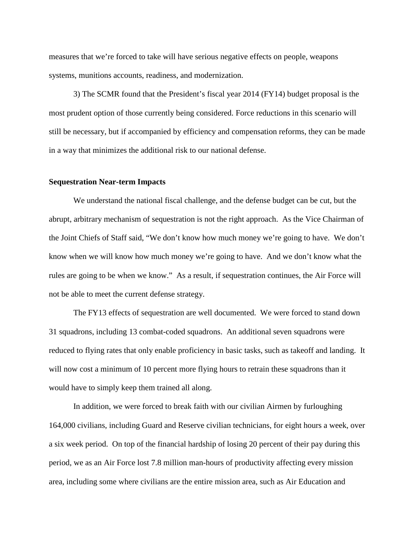measures that we're forced to take will have serious negative effects on people, weapons systems, munitions accounts, readiness, and modernization.

3) The SCMR found that the President's fiscal year 2014 (FY14) budget proposal is the most prudent option of those currently being considered. Force reductions in this scenario will still be necessary, but if accompanied by efficiency and compensation reforms, they can be made in a way that minimizes the additional risk to our national defense.

## **Sequestration Near-term Impacts**

We understand the national fiscal challenge, and the defense budget can be cut, but the abrupt, arbitrary mechanism of sequestration is not the right approach. As the Vice Chairman of the Joint Chiefs of Staff said, "We don't know how much money we're going to have. We don't know when we will know how much money we're going to have. And we don't know what the rules are going to be when we know." As a result, if sequestration continues, the Air Force will not be able to meet the current defense strategy.

The FY13 effects of sequestration are well documented. We were forced to stand down 31 squadrons, including 13 combat-coded squadrons. An additional seven squadrons were reduced to flying rates that only enable proficiency in basic tasks, such as takeoff and landing. It will now cost a minimum of 10 percent more flying hours to retrain these squadrons than it would have to simply keep them trained all along.

In addition, we were forced to break faith with our civilian Airmen by furloughing 164,000 civilians, including Guard and Reserve civilian technicians, for eight hours a week, over a six week period. On top of the financial hardship of losing 20 percent of their pay during this period, we as an Air Force lost 7.8 million man-hours of productivity affecting every mission area, including some where civilians are the entire mission area, such as Air Education and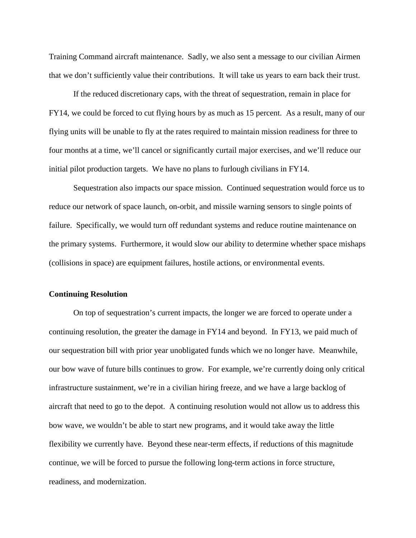Training Command aircraft maintenance. Sadly, we also sent a message to our civilian Airmen that we don't sufficiently value their contributions. It will take us years to earn back their trust.

If the reduced discretionary caps, with the threat of sequestration, remain in place for FY14, we could be forced to cut flying hours by as much as 15 percent. As a result, many of our flying units will be unable to fly at the rates required to maintain mission readiness for three to four months at a time, we'll cancel or significantly curtail major exercises, and we'll reduce our initial pilot production targets. We have no plans to furlough civilians in FY14.

Sequestration also impacts our space mission. Continued sequestration would force us to reduce our network of space launch, on-orbit, and missile warning sensors to single points of failure. Specifically, we would turn off redundant systems and reduce routine maintenance on the primary systems. Furthermore, it would slow our ability to determine whether space mishaps (collisions in space) are equipment failures, hostile actions, or environmental events.

#### **Continuing Resolution**

On top of sequestration's current impacts, the longer we are forced to operate under a continuing resolution, the greater the damage in FY14 and beyond. In FY13, we paid much of our sequestration bill with prior year unobligated funds which we no longer have. Meanwhile, our bow wave of future bills continues to grow. For example, we're currently doing only critical infrastructure sustainment, we're in a civilian hiring freeze, and we have a large backlog of aircraft that need to go to the depot. A continuing resolution would not allow us to address this bow wave, we wouldn't be able to start new programs, and it would take away the little flexibility we currently have. Beyond these near-term effects, if reductions of this magnitude continue, we will be forced to pursue the following long-term actions in force structure, readiness, and modernization.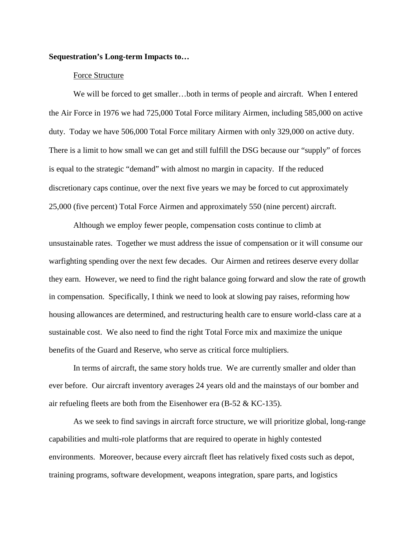## **Sequestration's Long-term Impacts to…**

## Force Structure

We will be forced to get smaller…both in terms of people and aircraft. When I entered the Air Force in 1976 we had 725,000 Total Force military Airmen, including 585,000 on active duty. Today we have 506,000 Total Force military Airmen with only 329,000 on active duty. There is a limit to how small we can get and still fulfill the DSG because our "supply" of forces is equal to the strategic "demand" with almost no margin in capacity. If the reduced discretionary caps continue, over the next five years we may be forced to cut approximately 25,000 (five percent) Total Force Airmen and approximately 550 (nine percent) aircraft.

Although we employ fewer people, compensation costs continue to climb at unsustainable rates. Together we must address the issue of compensation or it will consume our warfighting spending over the next few decades. Our Airmen and retirees deserve every dollar they earn. However, we need to find the right balance going forward and slow the rate of growth in compensation. Specifically, I think we need to look at slowing pay raises, reforming how housing allowances are determined, and restructuring health care to ensure world-class care at a sustainable cost. We also need to find the right Total Force mix and maximize the unique benefits of the Guard and Reserve, who serve as critical force multipliers.

In terms of aircraft, the same story holds true. We are currently smaller and older than ever before. Our aircraft inventory averages 24 years old and the mainstays of our bomber and air refueling fleets are both from the Eisenhower era (B-52 & KC-135).

As we seek to find savings in aircraft force structure, we will prioritize global, long-range capabilities and multi-role platforms that are required to operate in highly contested environments. Moreover, because every aircraft fleet has relatively fixed costs such as depot, training programs, software development, weapons integration, spare parts, and logistics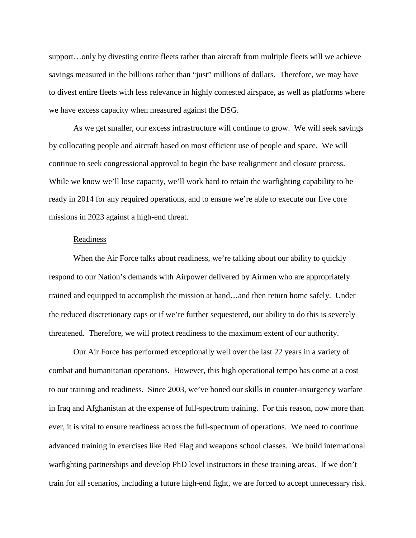support…only by divesting entire fleets rather than aircraft from multiple fleets will we achieve savings measured in the billions rather than "just" millions of dollars. Therefore, we may have to divest entire fleets with less relevance in highly contested airspace, as well as platforms where we have excess capacity when measured against the DSG.

As we get smaller, our excess infrastructure will continue to grow. We will seek savings by collocating people and aircraft based on most efficient use of people and space. We will continue to seek congressional approval to begin the base realignment and closure process. While we know we'll lose capacity, we'll work hard to retain the warfighting capability to be ready in 2014 for any required operations, and to ensure we're able to execute our five core missions in 2023 against a high-end threat.

## Readiness

When the Air Force talks about readiness, we're talking about our ability to quickly respond to our Nation's demands with Airpower delivered by Airmen who are appropriately trained and equipped to accomplish the mission at hand…and then return home safely. Under the reduced discretionary caps or if we're further sequestered, our ability to do this is severely threatened. Therefore, we will protect readiness to the maximum extent of our authority.

Our Air Force has performed exceptionally well over the last 22 years in a variety of combat and humanitarian operations. However, this high operational tempo has come at a cost to our training and readiness. Since 2003, we've honed our skills in counter-insurgency warfare in Iraq and Afghanistan at the expense of full-spectrum training. For this reason, now more than ever, it is vital to ensure readiness across the full-spectrum of operations. We need to continue advanced training in exercises like Red Flag and weapons school classes. We build international warfighting partnerships and develop PhD level instructors in these training areas. If we don't train for all scenarios, including a future high-end fight, we are forced to accept unnecessary risk.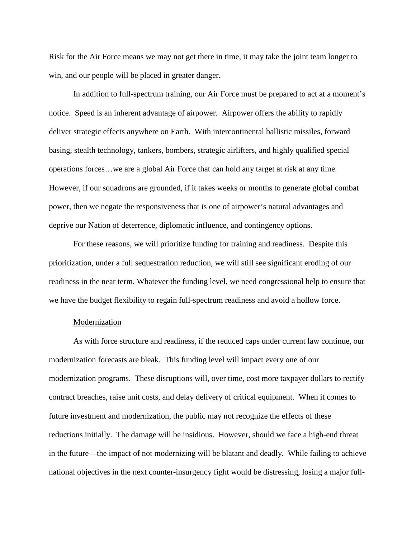Risk for the Air Force means we may not get there in time, it may take the joint team longer to win, and our people will be placed in greater danger.

In addition to full-spectrum training, our Air Force must be prepared to act at a moment's notice. Speed is an inherent advantage of airpower. Airpower offers the ability to rapidly deliver strategic effects anywhere on Earth. With intercontinental ballistic missiles, forward basing, stealth technology, tankers, bombers, strategic airlifters, and highly qualified special operations forces…we are a global Air Force that can hold any target at risk at any time. However, if our squadrons are grounded, if it takes weeks or months to generate global combat power, then we negate the responsiveness that is one of airpower's natural advantages and deprive our Nation of deterrence, diplomatic influence, and contingency options.

For these reasons, we will prioritize funding for training and readiness. Despite this prioritization, under a full sequestration reduction, we will still see significant eroding of our readiness in the near term. Whatever the funding level, we need congressional help to ensure that we have the budget flexibility to regain full-spectrum readiness and avoid a hollow force.

## Modernization

As with force structure and readiness, if the reduced caps under current law continue, our modernization forecasts are bleak. This funding level will impact every one of our modernization programs. These disruptions will, over time, cost more taxpayer dollars to rectify contract breaches, raise unit costs, and delay delivery of critical equipment. When it comes to future investment and modernization, the public may not recognize the effects of these reductions initially. The damage will be insidious. However, should we face a high-end threat in the future—the impact of not modernizing will be blatant and deadly. While failing to achieve national objectives in the next counter-insurgency fight would be distressing, losing a major full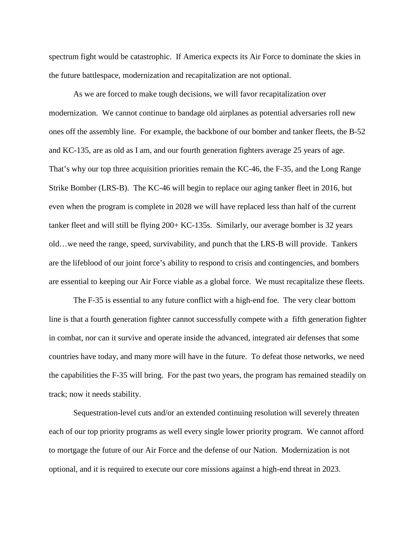spectrum fight would be catastrophic. If America expects its Air Force to dominate the skies in the future battlespace, modernization and recapitalization are not optional.

As we are forced to make tough decisions, we will favor recapitalization over modernization. We cannot continue to bandage old airplanes as potential adversaries roll new ones off the assembly line. For example, the backbone of our bomber and tanker fleets, the B-52 and KC-135, are as old as I am, and our fourth generation fighters average 25 years of age. That's why our top three acquisition priorities remain the KC-46, the F-35, and the Long Range Strike Bomber (LRS-B). The KC-46 will begin to replace our aging tanker fleet in 2016, but even when the program is complete in 2028 we will have replaced less than half of the current tanker fleet and will still be flying 200+ KC-135s. Similarly, our average bomber is 32 years old…we need the range, speed, survivability, and punch that the LRS-B will provide. Tankers are the lifeblood of our joint force's ability to respond to crisis and contingencies, and bombers are essential to keeping our Air Force viable as a global force. We must recapitalize these fleets.

The F-35 is essential to any future conflict with a high-end foe. The very clear bottom line is that a fourth generation fighter cannot successfully compete with a fifth generation fighter in combat, nor can it survive and operate inside the advanced, integrated air defenses that some countries have today, and many more will have in the future. To defeat those networks, we need the capabilities the F-35 will bring. For the past two years, the program has remained steadily on track; now it needs stability.

Sequestration-level cuts and/or an extended continuing resolution will severely threaten each of our top priority programs as well every single lower priority program. We cannot afford to mortgage the future of our Air Force and the defense of our Nation. Modernization is not optional, and it is required to execute our core missions against a high-end threat in 2023.